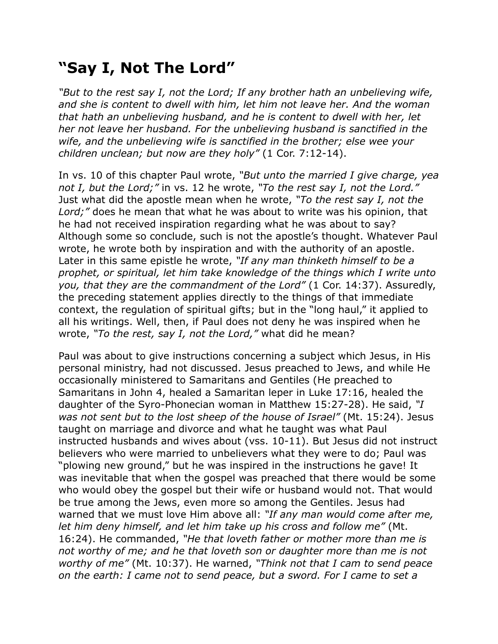## **"Say I, Not The Lord"**

*"But to the rest say I, not the Lord; If any brother hath an unbelieving wife, and she is content to dwell with him, let him not leave her. And the woman that hath an unbelieving husband, and he is content to dwell with her, let her not leave her husband. For the unbelieving husband is sanctified in the wife, and the unbelieving wife is sanctified in the brother; else wee your children unclean; but now are they holy"* (1 Cor. 7:12-14).

In vs. 10 of this chapter Paul wrote, *"But unto the married I give charge, yea not I, but the Lord;"* in vs. 12 he wrote, *"To the rest say I, not the Lord."* Just what did the apostle mean when he wrote, *"To the rest say I, not the Lord;"* does he mean that what he was about to write was his opinion, that he had not received inspiration regarding what he was about to say? Although some so conclude, such is not the apostle's thought. Whatever Paul wrote, he wrote both by inspiration and with the authority of an apostle. Later in this same epistle he wrote, *"If any man thinketh himself to be a prophet, or spiritual, let him take knowledge of the things which I write unto you, that they are the commandment of the Lord"* (1 Cor. 14:37). Assuredly, the preceding statement applies directly to the things of that immediate context, the regulation of spiritual gifts; but in the "long haul," it applied to all his writings. Well, then, if Paul does not deny he was inspired when he wrote, *"To the rest, say I, not the Lord,"* what did he mean?

Paul was about to give instructions concerning a subject which Jesus, in His personal ministry, had not discussed. Jesus preached to Jews, and while He occasionally ministered to Samaritans and Gentiles (He preached to Samaritans in John 4, healed a Samaritan leper in Luke 17:16, healed the daughter of the Syro-Phonecian woman in Matthew 15:27-28). He said, *"I was not sent but to the lost sheep of the house of Israel"* (Mt. 15:24). Jesus taught on marriage and divorce and what he taught was what Paul instructed husbands and wives about (vss. 10-11). But Jesus did not instruct believers who were married to unbelievers what they were to do; Paul was "plowing new ground," but he was inspired in the instructions he gave! It was inevitable that when the gospel was preached that there would be some who would obey the gospel but their wife or husband would not. That would be true among the Jews, even more so among the Gentiles. Jesus had warned that we must love Him above all: *"If any man would come after me, let him deny himself, and let him take up his cross and follow me"* (Mt. 16:24). He commanded, *"He that loveth father or mother more than me is not worthy of me; and he that loveth son or daughter more than me is not worthy of me"* (Mt. 10:37). He warned, *"Think not that I cam to send peace on the earth: I came not to send peace, but a sword. For I came to set a*